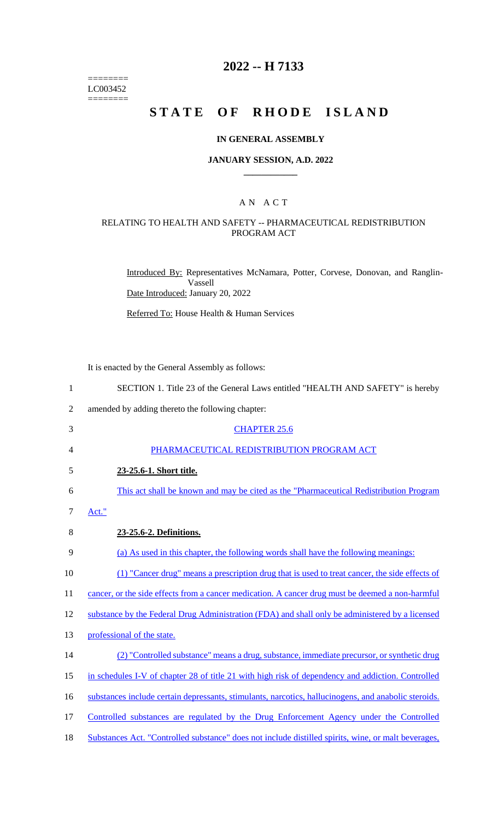======== LC003452 ========

## **2022 -- H 7133**

# **STATE OF RHODE ISLAND**

#### **IN GENERAL ASSEMBLY**

#### **JANUARY SESSION, A.D. 2022 \_\_\_\_\_\_\_\_\_\_\_\_**

### A N A C T

## RELATING TO HEALTH AND SAFETY -- PHARMACEUTICAL REDISTRIBUTION PROGRAM ACT

Introduced By: Representatives McNamara, Potter, Corvese, Donovan, and Ranglin-Vassell Date Introduced: January 20, 2022

Referred To: House Health & Human Services

It is enacted by the General Assembly as follows:

| $\mathbf{1}$   | SECTION 1. Title 23 of the General Laws entitled "HEALTH AND SAFETY" is hereby                       |
|----------------|------------------------------------------------------------------------------------------------------|
| $\overline{2}$ | amended by adding thereto the following chapter:                                                     |
| 3              | <b>CHAPTER 25.6</b>                                                                                  |
| $\overline{4}$ | PHARMACEUTICAL REDISTRIBUTION PROGRAM ACT                                                            |
| 5              | 23-25.6-1. Short title.                                                                              |
| 6              | This act shall be known and may be cited as the "Pharmaceutical Redistribution Program               |
| $\tau$         | Act."                                                                                                |
| 8              | 23-25.6-2. Definitions.                                                                              |
| 9              | (a) As used in this chapter, the following words shall have the following meanings:                  |
| 10             | (1) "Cancer drug" means a prescription drug that is used to treat cancer, the side effects of        |
| 11             | cancer, or the side effects from a cancer medication. A cancer drug must be deemed a non-harmful     |
| 12             | substance by the Federal Drug Administration (FDA) and shall only be administered by a licensed      |
| 13             | professional of the state.                                                                           |
| 14             | (2) "Controlled substance" means a drug, substance, immediate precursor, or synthetic drug           |
| 15             | in schedules I-V of chapter 28 of title 21 with high risk of dependency and addiction. Controlled    |
| 16             | substances include certain depressants, stimulants, narcotics, hallucinogens, and anabolic steroids. |
| 17             | Controlled substances are regulated by the Drug Enforcement Agency under the Controlled              |
| 18             | Substances Act. "Controlled substance" does not include distilled spirits, wine, or malt beverages,  |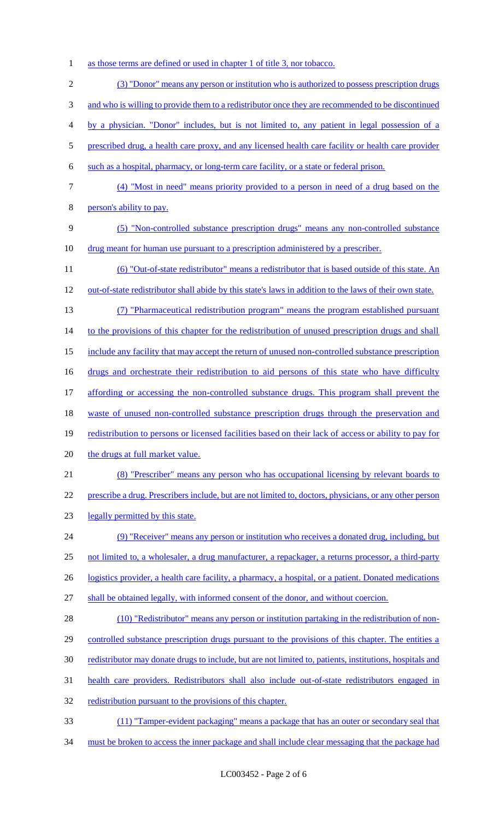- 1 as those terms are defined or used in chapter 1 of title 3, nor tobacco.
- (3) "Donor" means any person or institution who is authorized to possess prescription drugs 3 and who is willing to provide them to a redistributor once they are recommended to be discontinued by a physician. "Donor" includes, but is not limited to, any patient in legal possession of a 5 prescribed drug, a health care proxy, and any licensed health care facility or health care provider such as a hospital, pharmacy, or long-term care facility, or a state or federal prison. (4) "Most in need" means priority provided to a person in need of a drug based on the person's ability to pay. (5) "Non-controlled substance prescription drugs" means any non-controlled substance drug meant for human use pursuant to a prescription administered by a prescriber. (6) "Out-of-state redistributor" means a redistributor that is based outside of this state. An 12 out-of-state redistributor shall abide by this state's laws in addition to the laws of their own state. (7) "Pharmaceutical redistribution program" means the program established pursuant 14 to the provisions of this chapter for the redistribution of unused prescription drugs and shall include any facility that may accept the return of unused non-controlled substance prescription 16 drugs and orchestrate their redistribution to aid persons of this state who have difficulty affording or accessing the non-controlled substance drugs. This program shall prevent the 18 waste of unused non-controlled substance prescription drugs through the preservation and redistribution to persons or licensed facilities based on their lack of access or ability to pay for 20 the drugs at full market value. (8) "Prescriber" means any person who has occupational licensing by relevant boards to prescribe a drug. Prescribers include, but are not limited to, doctors, physicians, or any other person legally permitted by this state. (9) "Receiver" means any person or institution who receives a donated drug, including, but not limited to, a wholesaler, a drug manufacturer, a repackager, a returns processor, a third-party 26 logistics provider, a health care facility, a pharmacy, a hospital, or a patient. Donated medications shall be obtained legally, with informed consent of the donor, and without coercion. (10) "Redistributor" means any person or institution partaking in the redistribution of non-29 controlled substance prescription drugs pursuant to the provisions of this chapter. The entities a redistributor may donate drugs to include, but are not limited to, patients, institutions, hospitals and health care providers. Redistributors shall also include out-of-state redistributors engaged in 32 redistribution pursuant to the provisions of this chapter. (11) "Tamper-evident packaging" means a package that has an outer or secondary seal that 34 must be broken to access the inner package and shall include clear messaging that the package had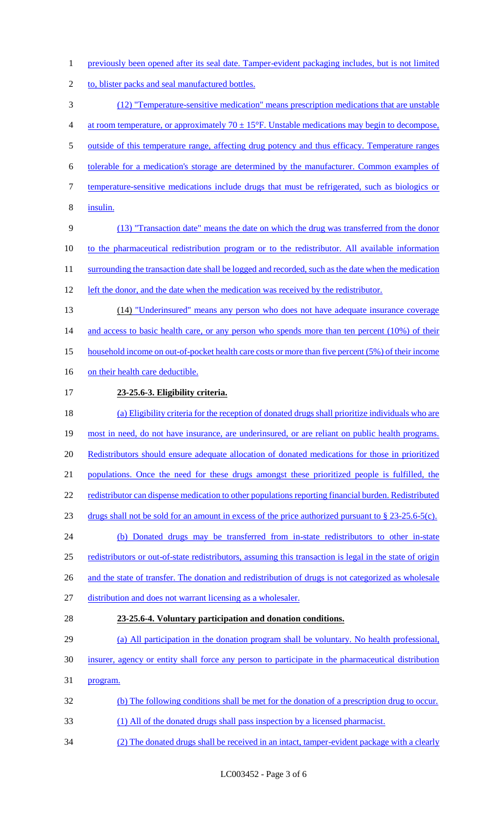- 1 previously been opened after its seal date. Tamper-evident packaging includes, but is not limited
- 2 to, blister packs and seal manufactured bottles.
- (12) "Temperature-sensitive medication" means prescription medications that are unstable 4 at room temperature, or approximately  $70 \pm 15^{\circ}$ F. Unstable medications may begin to decompose, outside of this temperature range, affecting drug potency and thus efficacy. Temperature ranges tolerable for a medication's storage are determined by the manufacturer. Common examples of temperature-sensitive medications include drugs that must be refrigerated, such as biologics or insulin. (13) "Transaction date" means the date on which the drug was transferred from the donor to the pharmaceutical redistribution program or to the redistributor. All available information 11 surrounding the transaction date shall be logged and recorded, such as the date when the medication 12 left the donor, and the date when the medication was received by the redistributor. (14) "Underinsured" means any person who does not have adequate insurance coverage 14 and access to basic health care, or any person who spends more than ten percent (10%) of their household income on out-of-pocket health care costs or more than five percent (5%) of their income 16 on their health care deductible. **23-25.6-3. Eligibility criteria.** (a) Eligibility criteria for the reception of donated drugs shall prioritize individuals who are 19 most in need, do not have insurance, are underinsured, or are reliant on public health programs. Redistributors should ensure adequate allocation of donated medications for those in prioritized populations. Once the need for these drugs amongst these prioritized people is fulfilled, the 22 redistributor can dispense medication to other populations reporting financial burden. Redistributed drugs shall not be sold for an amount in excess of the price authorized pursuant to § 23-25.6-5(c). (b) Donated drugs may be transferred from in-state redistributors to other in-state redistributors or out-of-state redistributors, assuming this transaction is legal in the state of origin 26 and the state of transfer. The donation and redistribution of drugs is not categorized as wholesale distribution and does not warrant licensing as a wholesaler. **23-25.6-4. Voluntary participation and donation conditions.** (a) All participation in the donation program shall be voluntary. No health professional, insurer, agency or entity shall force any person to participate in the pharmaceutical distribution program. (b) The following conditions shall be met for the donation of a prescription drug to occur. (1) All of the donated drugs shall pass inspection by a licensed pharmacist. (2) The donated drugs shall be received in an intact, tamper-evident package with a clearly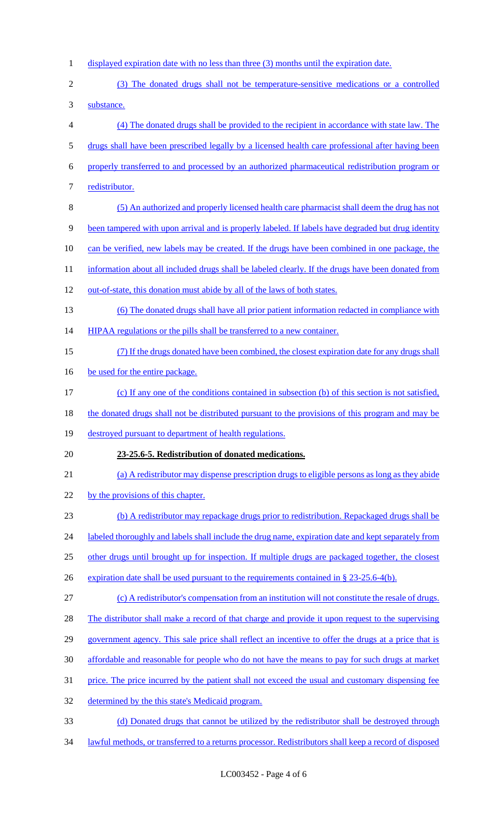- 1 displayed expiration date with no less than three (3) months until the expiration date.
- (3) The donated drugs shall not be temperature-sensitive medications or a controlled substance.
- 
- (4) The donated drugs shall be provided to the recipient in accordance with state law. The
- drugs shall have been prescribed legally by a licensed health care professional after having been
- properly transferred to and processed by an authorized pharmaceutical redistribution program or
- 7 redistributor.
- (5) An authorized and properly licensed health care pharmacist shall deem the drug has not
- been tampered with upon arrival and is properly labeled. If labels have degraded but drug identity
- can be verified, new labels may be created. If the drugs have been combined in one package, the
- 11 information about all included drugs shall be labeled clearly. If the drugs have been donated from
- out-of-state, this donation must abide by all of the laws of both states.
- (6) The donated drugs shall have all prior patient information redacted in compliance with
- 14 HIPAA regulations or the pills shall be transferred to a new container.
- (7) If the drugs donated have been combined, the closest expiration date for any drugs shall
- 16 be used for the entire package.
- (c) If any one of the conditions contained in subsection (b) of this section is not satisfied,
- 18 the donated drugs shall not be distributed pursuant to the provisions of this program and may be
- destroyed pursuant to department of health regulations.
- **23-25.6-5. Redistribution of donated medications.**
- (a) A redistributor may dispense prescription drugs to eligible persons as long as they abide
- 22 by the provisions of this chapter.
- (b) A redistributor may repackage drugs prior to redistribution. Repackaged drugs shall be
- 24 labeled thoroughly and labels shall include the drug name, expiration date and kept separately from
- other drugs until brought up for inspection. If multiple drugs are packaged together, the closest
- 26 expiration date shall be used pursuant to the requirements contained in § 23-25.6-4(b).
- (c) A redistributor's compensation from an institution will not constitute the resale of drugs.
- 28 The distributor shall make a record of that charge and provide it upon request to the supervising
- government agency. This sale price shall reflect an incentive to offer the drugs at a price that is
- affordable and reasonable for people who do not have the means to pay for such drugs at market
- price. The price incurred by the patient shall not exceed the usual and customary dispensing fee
- 32 determined by the this state's Medicaid program.
- (d) Donated drugs that cannot be utilized by the redistributor shall be destroyed through
- lawful methods, or transferred to a returns processor. Redistributors shall keep a record of disposed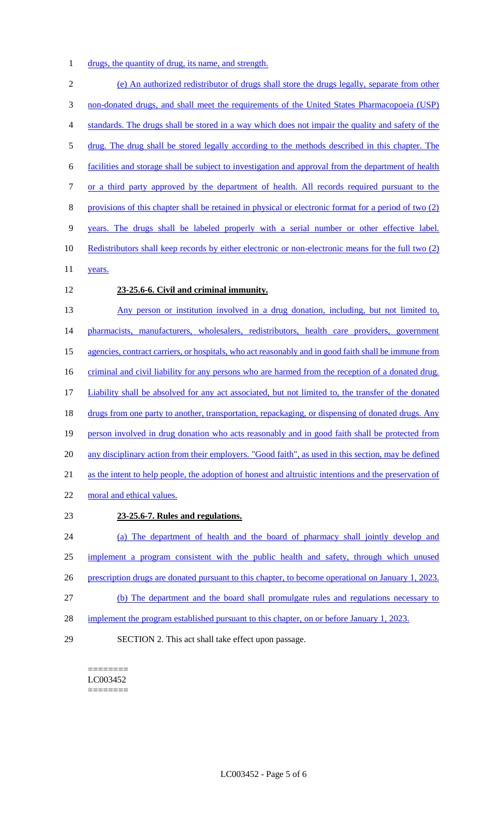drugs, the quantity of drug, its name, and strength.

 (e) An authorized redistributor of drugs shall store the drugs legally, separate from other non-donated drugs, and shall meet the requirements of the United States Pharmacopoeia (USP) standards. The drugs shall be stored in a way which does not impair the quality and safety of the drug. The drug shall be stored legally according to the methods described in this chapter. The facilities and storage shall be subject to investigation and approval from the department of health or a third party approved by the department of health. All records required pursuant to the provisions of this chapter shall be retained in physical or electronic format for a period of two (2) years. The drugs shall be labeled properly with a serial number or other effective label. Redistributors shall keep records by either electronic or non-electronic means for the full two (2) 11 years. **23-25.6-6. Civil and criminal immunity.** Any person or institution involved in a drug donation, including, but not limited to, 14 pharmacists, manufacturers, wholesalers, redistributors, health care providers, government agencies, contract carriers, or hospitals, who act reasonably and in good faith shall be immune from 16 criminal and civil liability for any persons who are harmed from the reception of a donated drug. Liability shall be absolved for any act associated, but not limited to, the transfer of the donated 18 drugs from one party to another, transportation, repackaging, or dispensing of donated drugs. Any 19 person involved in drug donation who acts reasonably and in good faith shall be protected from 20 any disciplinary action from their employers. "Good faith", as used in this section, may be defined

as the intent to help people, the adoption of honest and altruistic intentions and the preservation of

moral and ethical values.

#### **23-25.6-7. Rules and regulations.**

 (a) The department of health and the board of pharmacy shall jointly develop and implement a program consistent with the public health and safety, through which unused 26 prescription drugs are donated pursuant to this chapter, to become operational on January 1, 2023. (b) The department and the board shall promulgate rules and regulations necessary to 28 implement the program established pursuant to this chapter, on or before January 1, 2023.

SECTION 2. This act shall take effect upon passage.

======== LC003452 ========